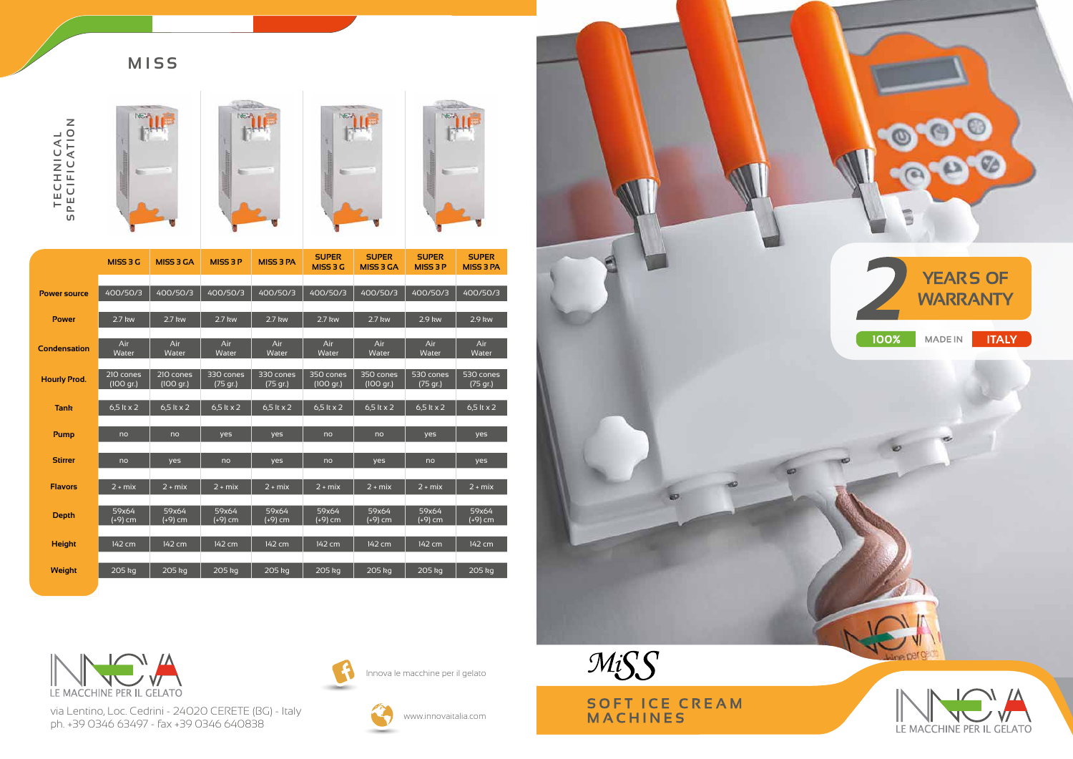## **MISS**







via Lentino, Loc. Cedrini - 24020 CERETE (BG) - Italy ph. +39 0346 63497 - fax +39 0346 640838



Innova le macchine per il gelato



www.innovaitalia.com



|                     | MISS 3 G          | <b>MISS 3 GA</b>  | <b>MISS 3 P</b>   | <b>MISS 3 PA</b>  | <b>SUPER</b><br>MISS 3 G | <b>SUPER</b><br><b>MISS 3 GA</b> | <b>SUPER</b><br><b>MISS 3 P</b> | <b>SUPER</b><br><b>MISS 3 PA</b> |
|---------------------|-------------------|-------------------|-------------------|-------------------|--------------------------|----------------------------------|---------------------------------|----------------------------------|
|                     |                   |                   |                   |                   |                          |                                  |                                 |                                  |
| <b>Power source</b> | 400/50/3          | 400/50/3          | 400/50/3          | 400/50/3          | 400/50/3                 | 400/50/3                         | 400/50/3                        | 400/50/3                         |
|                     |                   |                   |                   |                   |                          |                                  |                                 |                                  |
| <b>Power</b>        | $2.7$ kw          | 2.7 kw            | 2.7 kw            | 2.7 kw            | $2.7$ kw                 | 2.7 kw                           | 2.9 kw                          | 2.9 kw                           |
|                     |                   |                   |                   |                   |                          |                                  |                                 |                                  |
| <b>Condensation</b> | Air<br>Water      | Air<br>Water      | Air<br>Water      | Air<br>Water      | Air<br>Water             | Air<br>Water                     | Air<br>Water                    | Air<br>Water                     |
|                     |                   |                   |                   |                   |                          |                                  |                                 |                                  |
| <b>Hourly Prod.</b> | 210 cones         | 210 cones         | 330 cones         | 330 cones         | 350 cones                | 350 cones                        | 530 cones                       | 530 cones                        |
|                     | (100 gr.)         | (100 gr.)         | (75 gr.)          | (75 gr.)          | (100 gr.)                | $(100$ gr.)                      | (75 gr.)                        | (75 gr.)                         |
| <b>Tank</b>         | 6,5 lt $\times$ 2 | 6,5 lt $\times$ 2 | 6,5 lt $\times$ 2 | 6,5 lt $\times$ 2 | 6,5 lt $\times$ 2        | 6,5 lt $\times$ 2                | 6,5 lt $\times$ 2               | 6,5 lt $\times$ 2                |
|                     |                   |                   |                   |                   |                          |                                  |                                 |                                  |
| <b>Pump</b>         | no                | no                | yes               | yes               | no                       | no                               | yes                             | yes                              |
|                     |                   |                   |                   |                   |                          |                                  |                                 |                                  |
| <b>Stirrer</b>      | no                | yes               | no                | yes               | no                       | yes                              | no                              | yes                              |
|                     |                   |                   |                   |                   |                          |                                  |                                 |                                  |
| <b>Flavors</b>      | $2 + mix$         | $2 + mix$         | $2 + mix$         | $2 + mix$         | $2 + mix$                | $2 + mix$                        | $2 + mix$                       | $2 + mix$                        |
|                     |                   |                   |                   |                   |                          |                                  |                                 |                                  |
| <b>Depth</b>        | 59x64<br>(+9) cm  | 59x64<br>(+9) cm  | 59x64<br>(+9) cm  | 59x64<br>(+9) cm  | 59x64<br>(+9) cm         | 59x64<br>(+9) cm                 | 59x64<br>$(+9)$ cm              | 59x64<br>(+9) cm                 |
|                     |                   |                   |                   |                   |                          |                                  |                                 |                                  |
| <b>Height</b>       | 142 cm            | 142 cm            | 142 cm            | 142 cm            | 142 cm                   | 142 cm                           | 142 cm                          | 142 cm                           |
|                     |                   |                   |                   |                   |                          |                                  |                                 |                                  |
| <b>Weight</b>       | 205 kg            | 205 kg            | 205 kg            | 205 kg            | 205 kg                   | 205 kg                           | 205 kg                          | 205 kg                           |